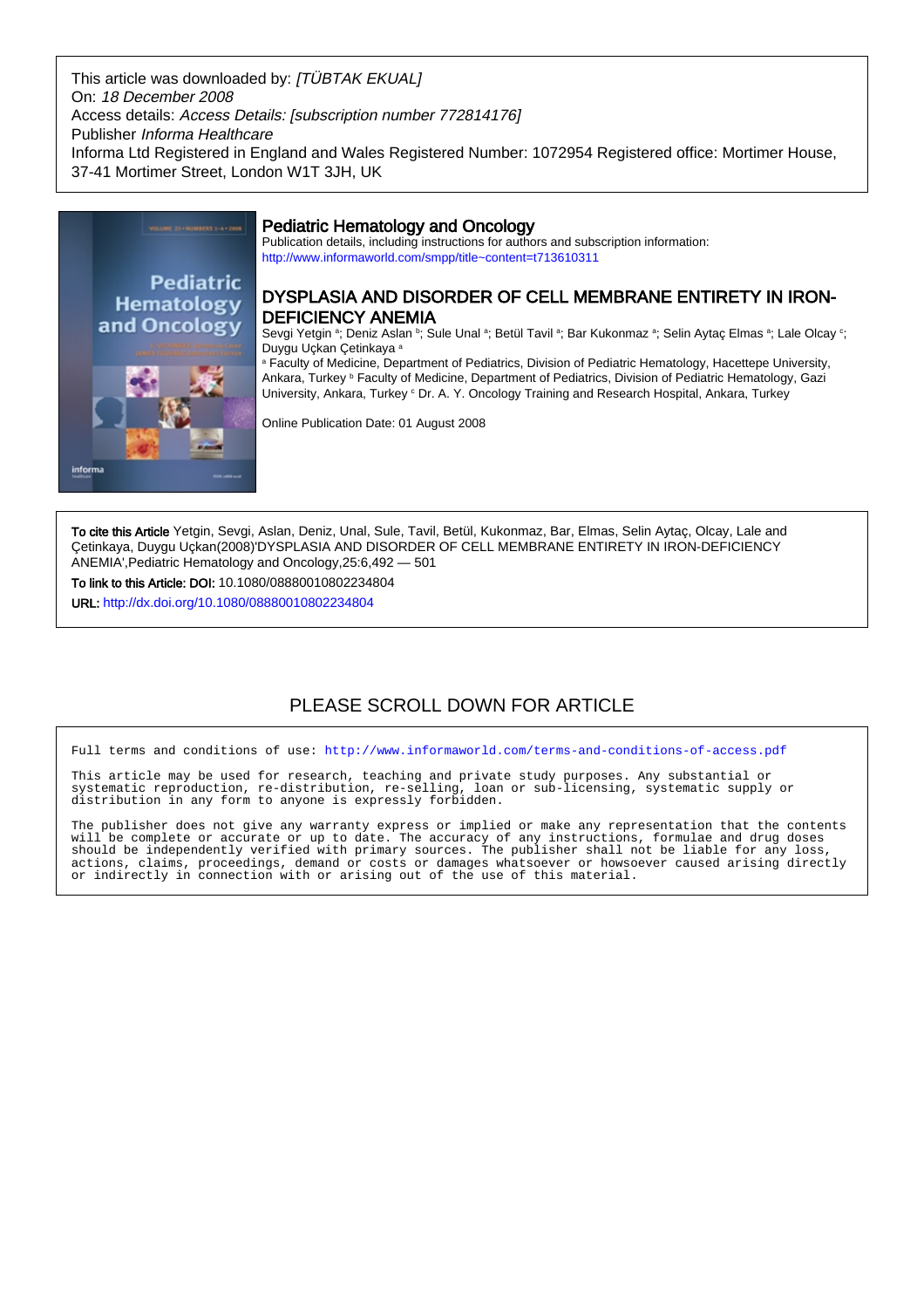This article was downloaded by: [TÜBTAK EKUAL] On: 18 December 2008 Access details: Access Details: [subscription number 772814176] Publisher Informa Healthcare Informa Ltd Registered in England and Wales Registered Number: 1072954 Registered office: Mortimer House, 37-41 Mortimer Street, London W1T 3JH, UK



# Pediatric Hematology and Oncology

Publication details, including instructions for authors and subscription information: <http://www.informaworld.com/smpp/title~content=t713610311>

# DYSPLASIA AND DISORDER OF CELL MEMBRANE ENTIRETY IN IRON-DEFICIENCY ANEMIA

Sevgi Yetgin ª; Deniz Aslan ʰ; Sule Unal ª; Betül Tavil ª; Bar Kukonmaz ª; Selin Aytaç Elmas ª; Lale Olcay °; Duygu Uçkan Çetinkaya <sup>a</sup>

a Faculty of Medicine, Department of Pediatrics, Division of Pediatric Hematology, Hacettepe University, Ankara, Turkey <sup>ь</sup> Faculty of Medicine, Department of Pediatrics, Division of Pediatric Hematology, Gazi University, Ankara, Turkey <sup>c</sup> Dr. A. Y. Oncology Training and Research Hospital, Ankara, Turkey

Online Publication Date: 01 August 2008

To cite this Article Yetgin, Sevgi, Aslan, Deniz, Unal, Sule, Tavil, Betül, Kukonmaz, Bar, Elmas, Selin Aytaç, Olcay, Lale and Çetinkaya, Duygu Uçkan(2008)'DYSPLASIA AND DISORDER OF CELL MEMBRANE ENTIRETY IN IRON-DEFICIENCY ANEMIA',Pediatric Hematology and Oncology,25:6,492 — 501

To link to this Article: DOI: 10.1080/08880010802234804

URL: <http://dx.doi.org/10.1080/08880010802234804>

# PLEASE SCROLL DOWN FOR ARTICLE

Full terms and conditions of use:<http://www.informaworld.com/terms-and-conditions-of-access.pdf>

This article may be used for research, teaching and private study purposes. Any substantial or systematic reproduction, re-distribution, re-selling, loan or sub-licensing, systematic supply or distribution in any form to anyone is expressly forbidden.

The publisher does not give any warranty express or implied or make any representation that the contents will be complete or accurate or up to date. The accuracy of any instructions, formulae and drug doses should be independently verified with primary sources. The publisher shall not be liable for any loss, actions, claims, proceedings, demand or costs or damages whatsoever or howsoever caused arising directly or indirectly in connection with or arising out of the use of this material.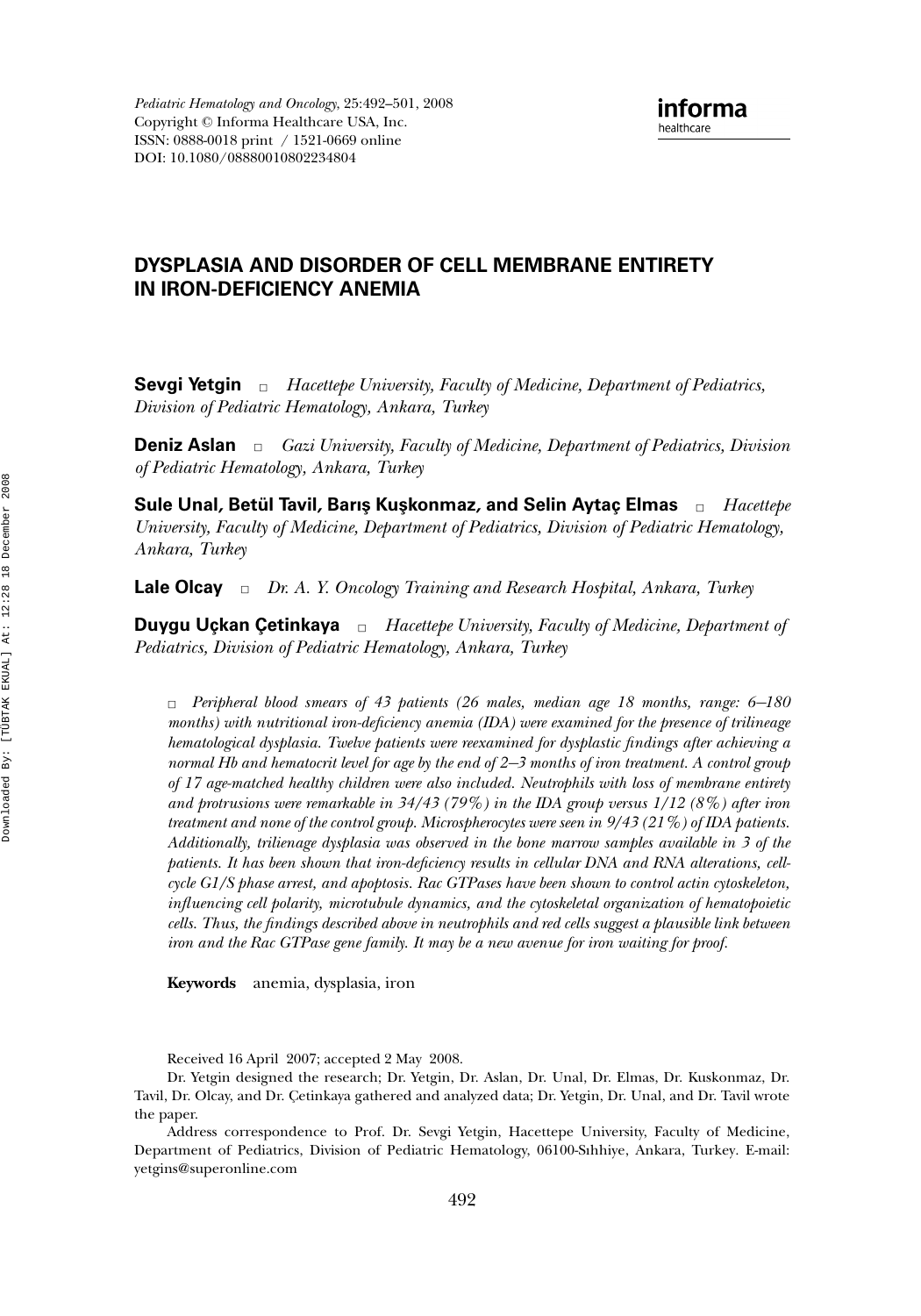## **DYSPLASIA AND DISORDER OF CELL MEMBRANE ENTIRETY IN IRON-DEFICIENCY ANEMIA**

**Sevgi Yetgin** □ *Hacettepe University, Faculty of Medicine, Department of Pediatrics, Division of Pediatric Hematology, Ankara, Turkey*

**Deniz Aslan** □ *Gazi University, Faculty of Medicine, Department of Pediatrics, Division of Pediatric Hematology, Ankara, Turkey*

**Sule Unal, Betul Tavil ¨ , Barıs¸ Kus¸konmaz, and Selin Aytac¸ Elmas** ✷ *Hacettepe University, Faculty of Medicine, Department of Pediatrics, Division of Pediatric Hematology, Ankara, Turkey*

**Lale Olcay** □ *Dr. A. Y. Oncology Training and Research Hospital, Ankara, Turkey* 

**Duygu Uçkan Çetinkaya**  $\Box$  *Hacettepe University, Faculty of Medicine, Department of Pediatrics, Division of Pediatric Hematology, Ankara, Turkey*

✷ *Peripheral blood smears of 43 patients (26 males, median age 18 months, range: 6*−*180 months) with nutritional iron-deficiency anemia (IDA) were examined for the presence of trilineage hematological dysplasia. Twelve patients were reexamined for dysplastic findings after achieving a normal Hb and hematocrit level for age by the end of 2*−*3 months of iron treatment. A control group of 17 age-matched healthy children were also included. Neutrophils with loss of membrane entirety and protrusions were remarkable in 34/43 (79%) in the IDA group versus 1/12 (8%) after iron treatment and none of the control group. Microspherocytes were seen in 9/43 (21%) of IDA patients. Additionally, trilienage dysplasia was observed in the bone marrow samples available in 3 of the patients. It has been shown that iron-deficiency results in cellular DNA and RNA alterations, cellcycle G1/S phase arrest, and apoptosis. Rac GTPases have been shown to control actin cytoskeleton, influencing cell polarity, microtubule dynamics, and the cytoskeletal organization of hematopoietic cells. Thus, the findings described above in neutrophils and red cells suggest a plausible link between iron and the Rac GTPase gene family. It may be a new avenue for iron waiting for proof.*

**Keywords** anemia, dysplasia, iron

Received 16 April 2007; accepted 2 May 2008.

Dr. Yetgin designed the research; Dr. Yetgin, Dr. Aslan, Dr. Unal, Dr. Elmas, Dr. Kuskonmaz, Dr. Tavil, Dr. Olcay, and Dr. Çetinkaya gathered and analyzed data; Dr. Yetgin, Dr. Unal, and Dr. Tavil wrote the paper.

Address correspondence to Prof. Dr. Sevgi Yetgin, Hacettepe University, Faculty of Medicine, Department of Pediatrics, Division of Pediatric Hematology, 06100-Sıhhiye, Ankara, Turkey. E-mail: yetgins@superonline.com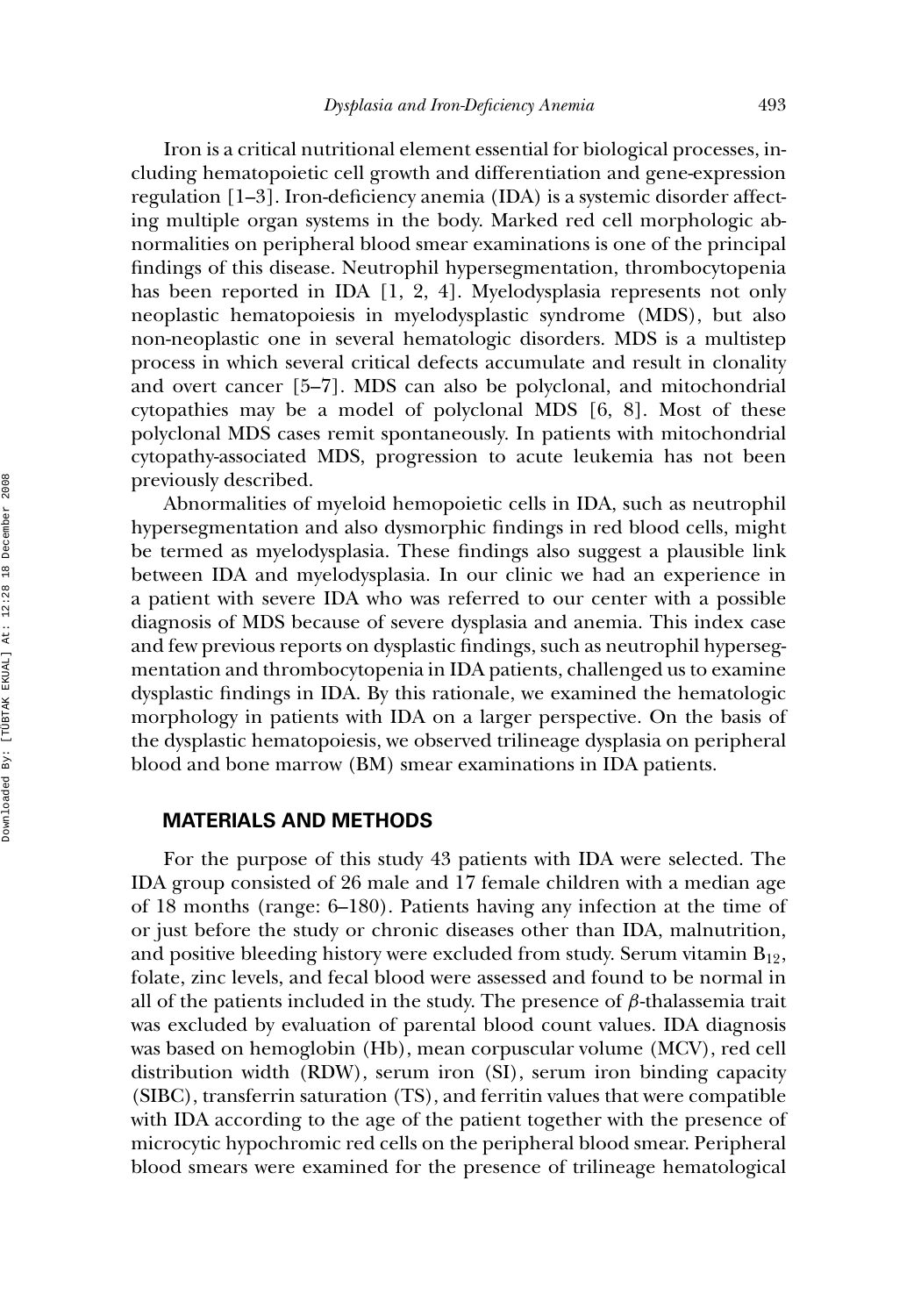Iron is a critical nutritional element essential for biological processes, including hematopoietic cell growth and differentiation and gene-expression regulation [1–3]. Iron-deficiency anemia (IDA) is a systemic disorder affecting multiple organ systems in the body. Marked red cell morphologic abnormalities on peripheral blood smear examinations is one of the principal findings of this disease. Neutrophil hypersegmentation, thrombocytopenia has been reported in IDA [1, 2, 4]. Myelodysplasia represents not only neoplastic hematopoiesis in myelodysplastic syndrome (MDS), but also non-neoplastic one in several hematologic disorders. MDS is a multistep process in which several critical defects accumulate and result in clonality and overt cancer [5–7]. MDS can also be polyclonal, and mitochondrial cytopathies may be a model of polyclonal MDS [6, 8]. Most of these polyclonal MDS cases remit spontaneously. In patients with mitochondrial cytopathy-associated MDS, progression to acute leukemia has not been previously described.

Abnormalities of myeloid hemopoietic cells in IDA, such as neutrophil hypersegmentation and also dysmorphic findings in red blood cells, might be termed as myelodysplasia. These findings also suggest a plausible link between IDA and myelodysplasia. In our clinic we had an experience in a patient with severe IDA who was referred to our center with a possible diagnosis of MDS because of severe dysplasia and anemia. This index case and few previous reports on dysplastic findings, such as neutrophil hypersegmentation and thrombocytopenia in IDA patients, challenged us to examine dysplastic findings in IDA. By this rationale, we examined the hematologic morphology in patients with IDA on a larger perspective. On the basis of the dysplastic hematopoiesis, we observed trilineage dysplasia on peripheral blood and bone marrow (BM) smear examinations in IDA patients.

#### **MATERIALS AND METHODS**

For the purpose of this study 43 patients with IDA were selected. The IDA group consisted of 26 male and 17 female children with a median age of 18 months (range: 6–180). Patients having any infection at the time of or just before the study or chronic diseases other than IDA, malnutrition, and positive bleeding history were excluded from study. Serum vitamin  $B_{12}$ , folate, zinc levels, and fecal blood were assessed and found to be normal in all of the patients included in the study. The presence of  $\beta$ -thalassemia trait was excluded by evaluation of parental blood count values. IDA diagnosis was based on hemoglobin (Hb), mean corpuscular volume (MCV), red cell distribution width (RDW), serum iron (SI), serum iron binding capacity (SIBC), transferrin saturation (TS), and ferritin values that were compatible with IDA according to the age of the patient together with the presence of microcytic hypochromic red cells on the peripheral blood smear. Peripheral blood smears were examined for the presence of trilineage hematological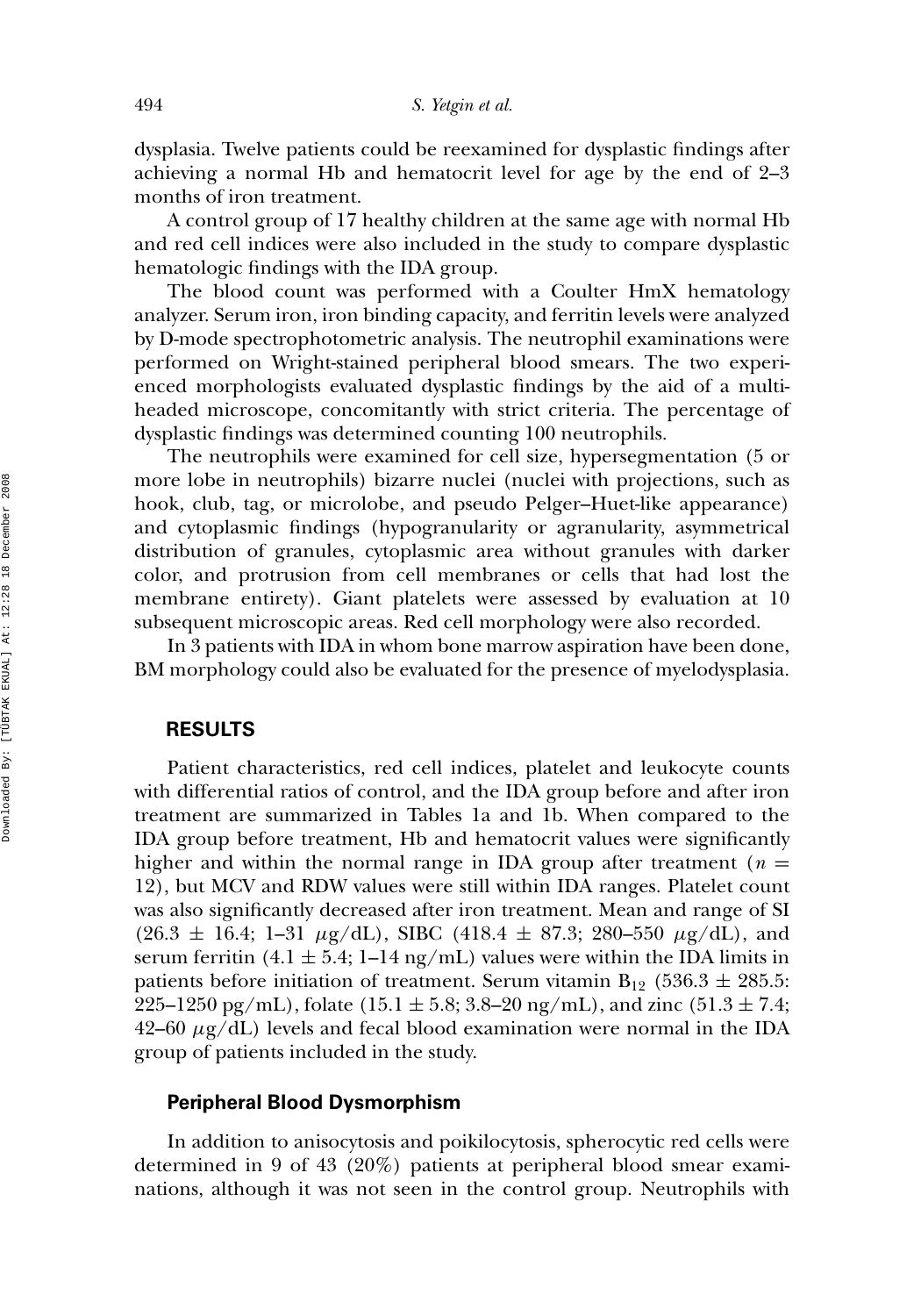dysplasia. Twelve patients could be reexamined for dysplastic findings after achieving a normal Hb and hematocrit level for age by the end of 2–3 months of iron treatment.

A control group of 17 healthy children at the same age with normal Hb and red cell indices were also included in the study to compare dysplastic hematologic findings with the IDA group.

The blood count was performed with a Coulter HmX hematology analyzer. Serum iron, iron binding capacity, and ferritin levels were analyzed by D-mode spectrophotometric analysis. The neutrophil examinations were performed on Wright-stained peripheral blood smears. The two experienced morphologists evaluated dysplastic findings by the aid of a multiheaded microscope, concomitantly with strict criteria. The percentage of dysplastic findings was determined counting 100 neutrophils.

The neutrophils were examined for cell size, hypersegmentation (5 or more lobe in neutrophils) bizarre nuclei (nuclei with projections, such as hook, club, tag, or microlobe, and pseudo Pelger–Huet-like appearance) and cytoplasmic findings (hypogranularity or agranularity, asymmetrical distribution of granules, cytoplasmic area without granules with darker color, and protrusion from cell membranes or cells that had lost the membrane entirety). Giant platelets were assessed by evaluation at 10 subsequent microscopic areas. Red cell morphology were also recorded.

In 3 patients with IDA in whom bone marrow aspiration have been done, BM morphology could also be evaluated for the presence of myelodysplasia.

### **RESULTS**

Patient characteristics, red cell indices, platelet and leukocyte counts with differential ratios of control, and the IDA group before and after iron treatment are summarized in Tables 1a and 1b. When compared to the IDA group before treatment, Hb and hematocrit values were significantly higher and within the normal range in IDA group after treatment ( $n =$ 12), but MCV and RDW values were still within IDA ranges. Platelet count was also significantly decreased after iron treatment. Mean and range of SI  $(26.3 \pm 16.4; 1-31 \mu g/dL)$ , SIBC  $(418.4 \pm 87.3; 280-550 \mu g/dL)$ , and serum ferritin (4.1  $\pm$  5.4; 1–14 ng/mL) values were within the IDA limits in patients before initiation of treatment. Serum vitamin  $B_{12}$  (536.3  $\pm$  285.5: 225–1250 pg/mL), folate (15.1  $\pm$  5.8; 3.8–20 ng/mL), and zinc (51.3  $\pm$  7.4;  $42-60 \mu g/dL$ ) levels and fecal blood examination were normal in the IDA group of patients included in the study.

#### **Peripheral Blood Dysmorphism**

In addition to anisocytosis and poikilocytosis, spherocytic red cells were determined in 9 of 43 (20%) patients at peripheral blood smear examinations, although it was not seen in the control group. Neutrophils with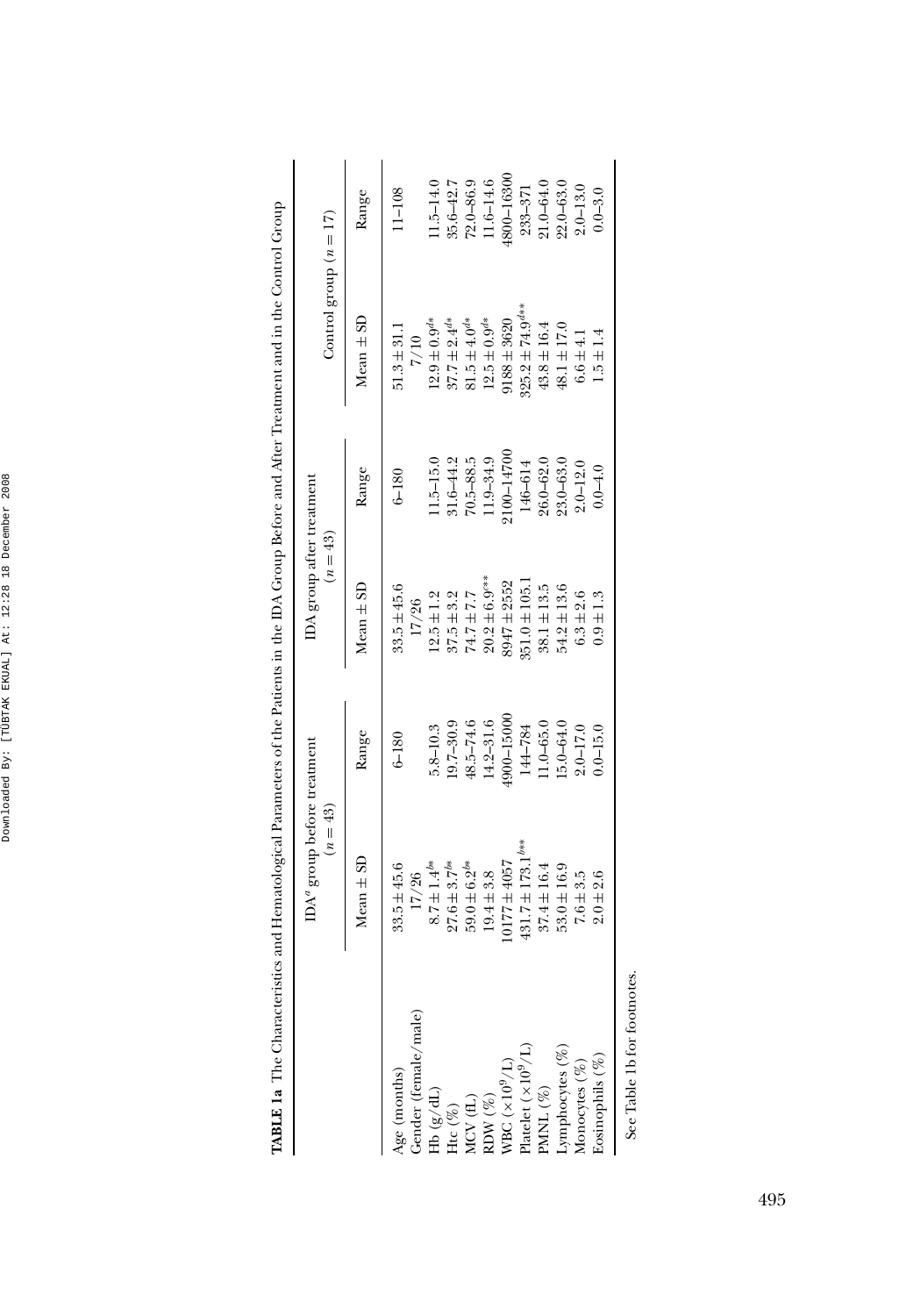|                                                                                    | $\text{IDA}^a$ group before treatment<br>$(n = 43)$ |               | IDA group after treatment<br>$(n = 43)$ |               | Control group $(n = 17)$        |               |
|------------------------------------------------------------------------------------|-----------------------------------------------------|---------------|-----------------------------------------|---------------|---------------------------------|---------------|
|                                                                                    | $Mean \pm SD$                                       | Range         | $Mean \pm SD$                           | Range         | $Mean \pm SD$                   | Range         |
| $\frac{\text{Age}}{\text{Gender}}(\text{female})$                                  | $33.5 \pm 45.6$                                     | $6 - 180$     | $33.5 \pm 45.6$                         | $6 - 180$     | $51.3 \pm 31.1$                 | $11 - 108$    |
|                                                                                    | 17/26                                               |               | 17/26                                   |               | 7/10                            |               |
|                                                                                    | $8.7 \pm 1.4^{b*}$                                  | $5.8 - 10.3$  | $12.5 \pm 1.2$                          | $1.5 - 15.0$  | $12.9 \pm 0.9$ <sup>4*</sup>    | $1.5 - 14.0$  |
| Hb $({\rm g}/{\rm d}{\rm L})$ Htc $(\%)$                                           | $27.6 \pm 3.7^{b*}$                                 | $19.7 - 30.9$ | $37.5 + 3.2$                            | $31.6 - 44.2$ | $37.7 \pm 2.4$ <sup>d*</sup>    | $35.6 - 42.7$ |
|                                                                                    | $59.0 \pm 6.2^{b*}$                                 | 48.5-74.6     | $74.7 + 7.7$                            | $70.5 - 88.5$ | $81.5 \pm 4.0^{4*}$             | $72.0 - 86.9$ |
|                                                                                    | $19.4 \pm 3.8$                                      | $14.2 - 31.6$ | $20.2 \pm 6.9$ <sup>c**</sup>           | 11.9-34.9     | $12.5 \pm 0.9^{d*}$             | $1.6 - 14.6$  |
|                                                                                    | $0177 \pm 4057$                                     | 1900-15000    | 8947 ± 2552                             | $100 - 14700$ | $188 + 3620$                    | 1800–16300    |
| MCV (fL)<br>RDW (%)<br>WBC (×10 <sup>9</sup> /L)<br>Platelet (×10 <sup>9</sup> /L) | $431.7 \pm 173.1^{b**}$                             | 144-784       | $351.0 \pm 105.$                        | 146-614       | $325.2 \pm 74.9$ <sup>d**</sup> | $233 - 371$   |
| PMNL $(\%)$<br>Lymphocytes $(\%)$<br>Monocytes $(\%)$                              | $37.4 \pm 16.4$                                     | $11.0 - 65.0$ | $38.1 \pm 13.5$                         | $26.0 - 62.0$ | $43.8 \pm 16.4$                 | 21.0-64.0     |
|                                                                                    | $53.0 \pm 16.9$                                     | 15.0–64.0     | $54.2 \pm 13.6$                         | $23.0 - 63.0$ | $48.1 \pm 17.0$                 | $22.0 - 63.0$ |
|                                                                                    | $7.6 + 3.5$                                         | $2.0 - 17.0$  | $6.3 + 2.6$                             | $2.0 - 12.0$  | $6.6 \pm 4.1$                   | $2.0 - 13.0$  |
| Losinophils (%)                                                                    | $2.0 + 2.6$                                         | $0.0 - 15.0$  | $0.9 \pm 1.3$                           | $0.0 - 4.0$   | $1.5 \pm 1.4$                   | $0.0 - 3.0$   |

| l<br>ŧ        |  |
|---------------|--|
|               |  |
|               |  |
|               |  |
|               |  |
| ĺ             |  |
|               |  |
|               |  |
|               |  |
|               |  |
|               |  |
| ĺ             |  |
|               |  |
|               |  |
|               |  |
|               |  |
|               |  |
|               |  |
|               |  |
|               |  |
|               |  |
|               |  |
|               |  |
| $\frac{1}{2}$ |  |
|               |  |
| i             |  |
|               |  |
|               |  |
| ۱             |  |
|               |  |
|               |  |
|               |  |
|               |  |
|               |  |
|               |  |
|               |  |
|               |  |
|               |  |
|               |  |
| l<br>י        |  |
|               |  |
| l             |  |
|               |  |
|               |  |
|               |  |
|               |  |
|               |  |
|               |  |
|               |  |
|               |  |
|               |  |
|               |  |
|               |  |
|               |  |
|               |  |
|               |  |
|               |  |
|               |  |
|               |  |
|               |  |
|               |  |
|               |  |
|               |  |
|               |  |
|               |  |
|               |  |
|               |  |
|               |  |
|               |  |
|               |  |
|               |  |
|               |  |
|               |  |
|               |  |
| ļ             |  |
|               |  |
|               |  |
| J             |  |
|               |  |
|               |  |
|               |  |
|               |  |
|               |  |
|               |  |
| ֚֚֚֬          |  |
|               |  |
|               |  |
|               |  |
|               |  |
|               |  |
|               |  |
|               |  |
| l<br>١        |  |
| ׇ֖֚֚֬֕<br>٢   |  |
| i             |  |
|               |  |
| í             |  |
|               |  |
|               |  |
|               |  |
|               |  |
|               |  |
|               |  |
|               |  |
|               |  |
|               |  |
| ļ             |  |
|               |  |
| ïя,           |  |
| j             |  |

See Table 1b for footnotes. See Table 1b for footnotes.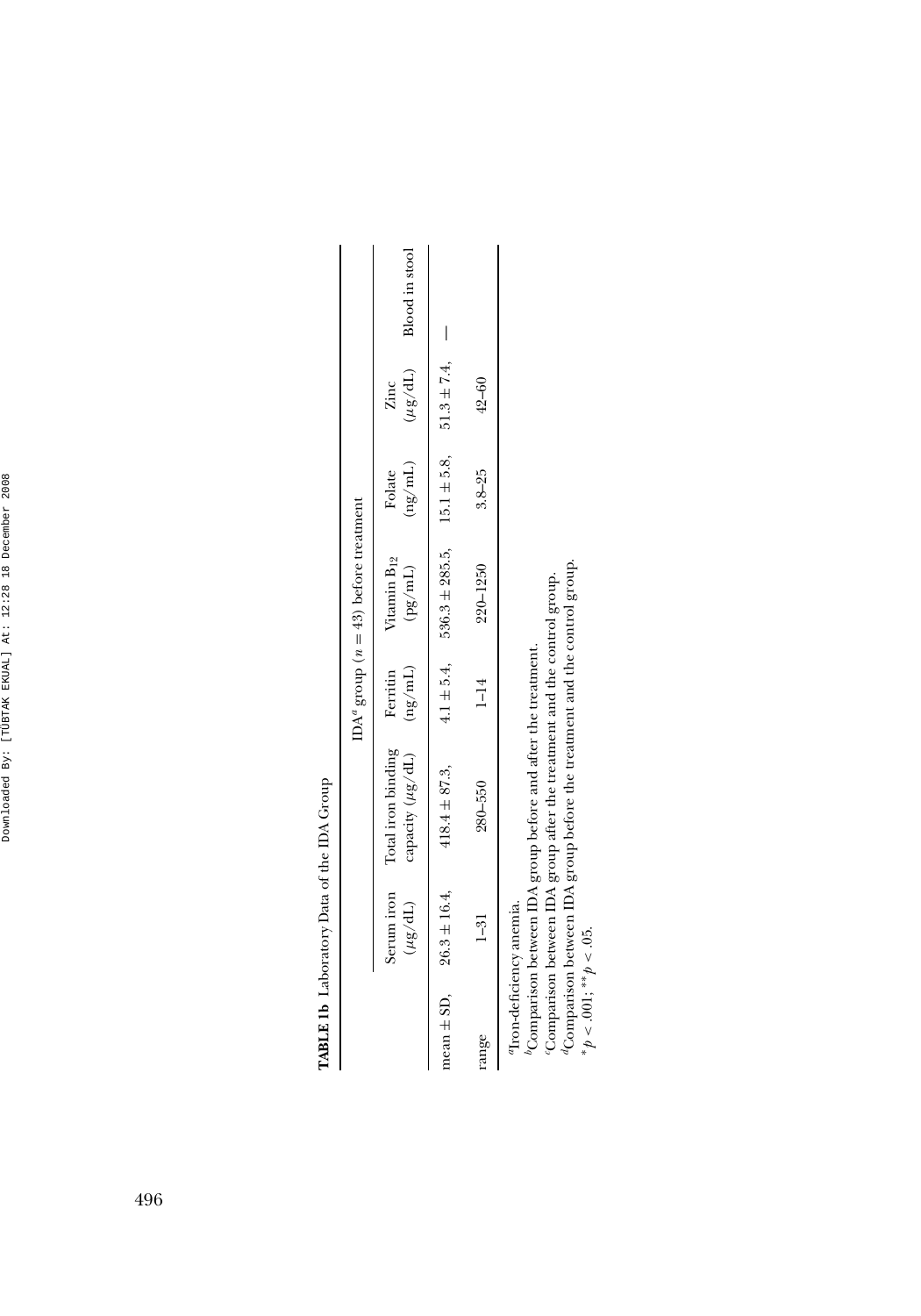TABLE 1b Laboratory Data of the IDA Group **TABLE 1b** Laboratory Data of the IDA Group

|       |                                  |                                                                          |          | IDA <sup>a</sup> group ( $n = 43$ ) before treatment                  |                         |           |                             |
|-------|----------------------------------|--------------------------------------------------------------------------|----------|-----------------------------------------------------------------------|-------------------------|-----------|-----------------------------|
|       | $(TP/\beta n)$                   | capacity ( $\mu$ g/dL) (ng/mL)<br>Serum iron Total iron binding Ferritin |          | Vitamin B <sub>12</sub><br>(pg/ml.)                                   | $\rm (ng/mL)$<br>Folate | Zinc      | $(\mu g/dL)$ Blood in stool |
|       | mean $\pm$ SD, $26.3 \pm 16.4$ , | $418.4 \pm 87.3$ ,                                                       |          | $4.1 \pm 5.4$ , $536.3 \pm 285.5$ , $15.1 \pm 5.8$ , $51.3 \pm 7.4$ , |                         |           |                             |
| range | $1 - 31$                         | $280 - 550$                                                              | $1 - 14$ | $220 - 1250$                                                          | $3.8 - 25$              | $42 - 60$ |                             |
|       | Tron-deficiency anemia.          | <sup>0</sup> Comparison between IDA group before and after the treatment |          |                                                                       |                         |           |                             |

*b*Comparison between IDA group before and after the treatment.

*c*Comparison between IDA group after the treatment and the control group.

"Comparison between IDA group before and after the treatment.<br>Comparison between IDA group after the treatment and the control group.<br>"Comparison between IDA group before the treatment and the control group.<br>" $\gamma \sim .001; ** \$ *d*Comparison between IDA group before the treatment and the control group.

∗*p* < .001; ∗∗*p* < .05.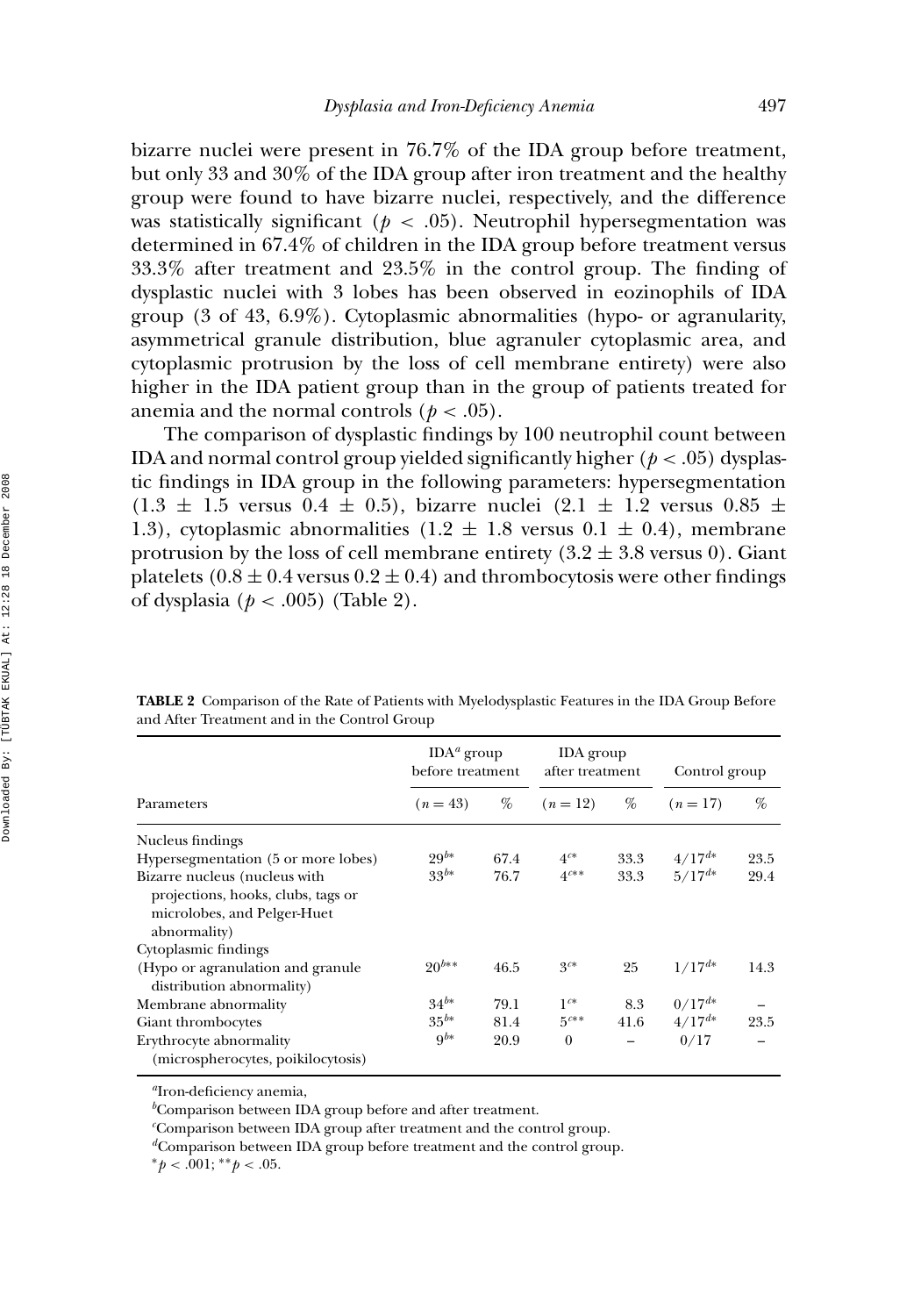bizarre nuclei were present in 76.7% of the IDA group before treatment, but only 33 and 30% of the IDA group after iron treatment and the healthy group were found to have bizarre nuclei, respectively, and the difference was statistically significant ( $p < .05$ ). Neutrophil hypersegmentation was determined in 67.4% of children in the IDA group before treatment versus 33.3% after treatment and 23.5% in the control group. The finding of dysplastic nuclei with 3 lobes has been observed in eozinophils of IDA group (3 of 43, 6.9%). Cytoplasmic abnormalities (hypo- or agranularity, asymmetrical granule distribution, blue agranuler cytoplasmic area, and cytoplasmic protrusion by the loss of cell membrane entirety) were also higher in the IDA patient group than in the group of patients treated for anemia and the normal controls ( $p < .05$ ).

The comparison of dysplastic findings by 100 neutrophil count between IDA and normal control group yielded significantly higher  $(p < .05)$  dysplastic findings in IDA group in the following parameters: hypersegmentation  $(1.3 \pm 1.5 \text{ versus } 0.4 \pm 0.5)$ , bizarre nuclei  $(2.1 \pm 1.2 \text{ versus } 0.85 \pm 0.5)$ 1.3), cytoplasmic abnormalities  $(1.2 \pm 1.8 \text{ versus } 0.1 \pm 0.4)$ , membrane protrusion by the loss of cell membrane entirety  $(3.2 \pm 3.8 \text{ versus } 0)$ . Giant platelets (0.8  $\pm$  0.4 versus 0.2  $\pm$  0.4) and thrombocytosis were other findings of dysplasia (*p* < .005) (Table 2).

|                                                                                                                    | $IDAa$ group<br>before treatment |      | <b>IDA</b> group<br>after treatment |      | Control group |      |
|--------------------------------------------------------------------------------------------------------------------|----------------------------------|------|-------------------------------------|------|---------------|------|
| Parameters                                                                                                         | $(n=43)$                         | %    | $(n=12)$                            | %    | $(n=17)$      | %    |
| Nucleus findings                                                                                                   |                                  |      |                                     |      |               |      |
| Hypersegmentation (5 or more lobes)                                                                                | $29^{b*}$                        | 67.4 | $4^{c*}$                            | 33.3 | $4/17^{d*}$   | 23.5 |
| Bizarre nucleus (nucleus with<br>projections, hooks, clubs, tags or<br>microlobes, and Pelger-Huet<br>abnormality) | $33^{b*}$                        | 76.7 | $4^{c**}$                           | 33.3 | $5/17^{d*}$   | 29.4 |
| Cytoplasmic findings                                                                                               |                                  |      |                                     |      |               |      |
| (Hypo or agranulation and granule<br>distribution abnormality)                                                     | $20^{b**}$                       | 46.5 | $3^{c*}$                            | 25   | $1/17^{d*}$   | 14.3 |
| Membrane abnormality                                                                                               | $34^{b*}$                        | 79.1 | $1^{c*}$                            | 8.3  | $0/17^{d*}$   |      |
| Giant thrombocytes                                                                                                 | $35^{b*}$                        | 81.4 | $5^{c**}$                           | 41.6 | $4/17^{d*}$   | 23.5 |
| Erythrocyte abnormality<br>(microspherocytes, poikilocytosis)                                                      | 9 <sup>b</sup>                   | 20.9 | $\theta$                            |      | 0/17          |      |

**TABLE 2** Comparison of the Rate of Patients with Myelodysplastic Features in the IDA Group Before and After Treatment and in the Control Group

*<sup>a</sup>*Iron-deficiency anemia,

*b* Comparison between IDA group before and after treatment.

*c* Comparison between IDA group after treatment and the control group.

*<sup>d</sup>*Comparison between IDA group before treatment and the control group.

∗*p* < .001; ∗∗*p* < .05.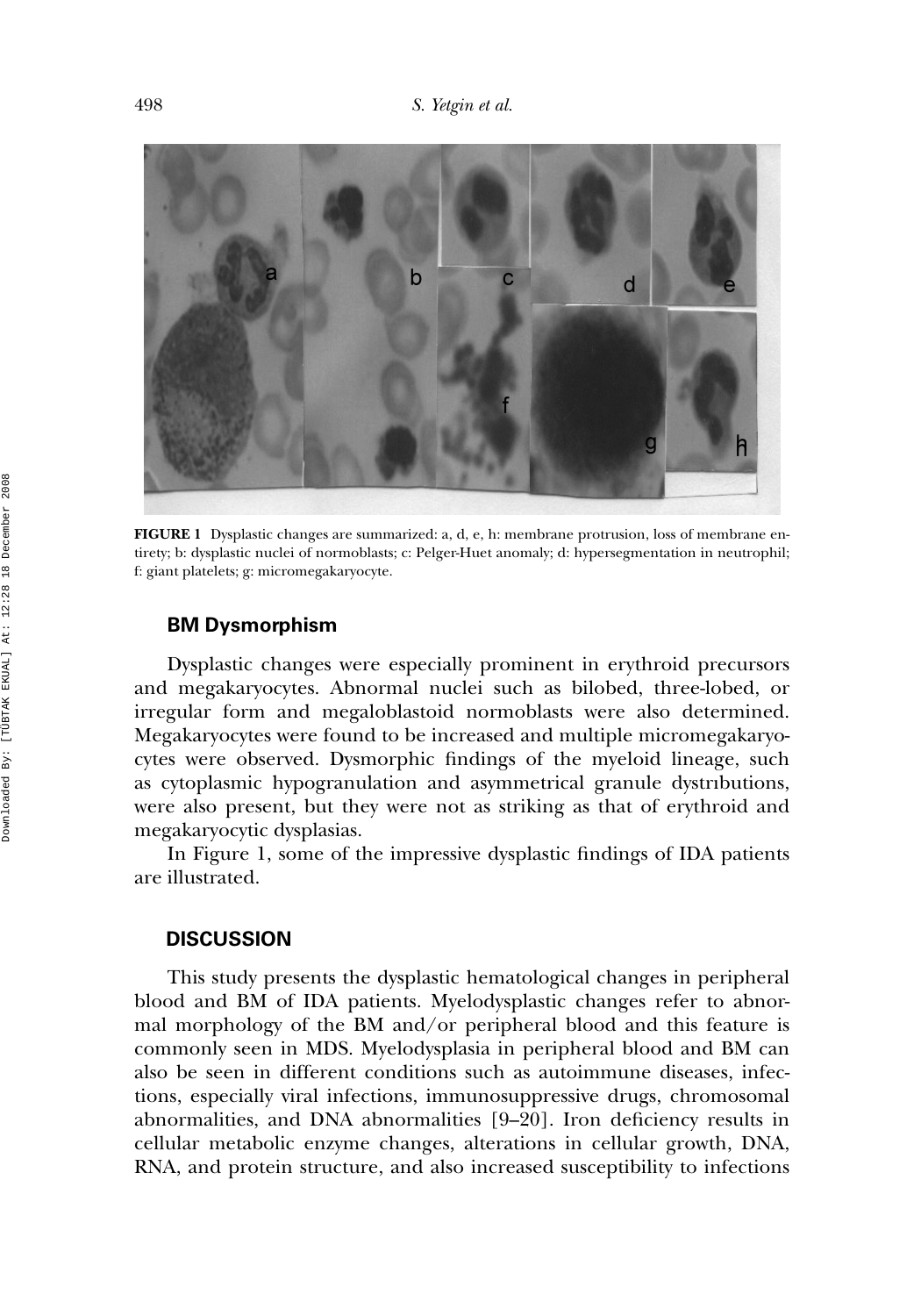

**FIGURE 1** Dysplastic changes are summarized: a, d, e, h: membrane protrusion, loss of membrane entirety; b: dysplastic nuclei of normoblasts; c: Pelger-Huet anomaly; d: hypersegmentation in neutrophil; f: giant platelets; g: micromegakaryocyte.

#### **BM Dysmorphism**

Dysplastic changes were especially prominent in erythroid precursors and megakaryocytes. Abnormal nuclei such as bilobed, three-lobed, or irregular form and megaloblastoid normoblasts were also determined. Megakaryocytes were found to be increased and multiple micromegakaryocytes were observed. Dysmorphic findings of the myeloid lineage, such as cytoplasmic hypogranulation and asymmetrical granule dystrıbutions, were also present, but they were not as striking as that of erythroid and megakaryocytic dysplasias.

In Figure 1, some of the impressive dysplastic findings of IDA patients are illustrated.

## **DISCUSSION**

This study presents the dysplastic hematological changes in peripheral blood and BM of IDA patients. Myelodysplastic changes refer to abnormal morphology of the BM and/or peripheral blood and this feature is commonly seen in MDS. Myelodysplasia in peripheral blood and BM can also be seen in different conditions such as autoimmune diseases, infections, especially viral infections, immunosuppressive drugs, chromosomal abnormalities, and DNA abnormalities [9–20]. Iron deficiency results in cellular metabolic enzyme changes, alterations in cellular growth, DNA, RNA, and protein structure, and also increased susceptibility to infections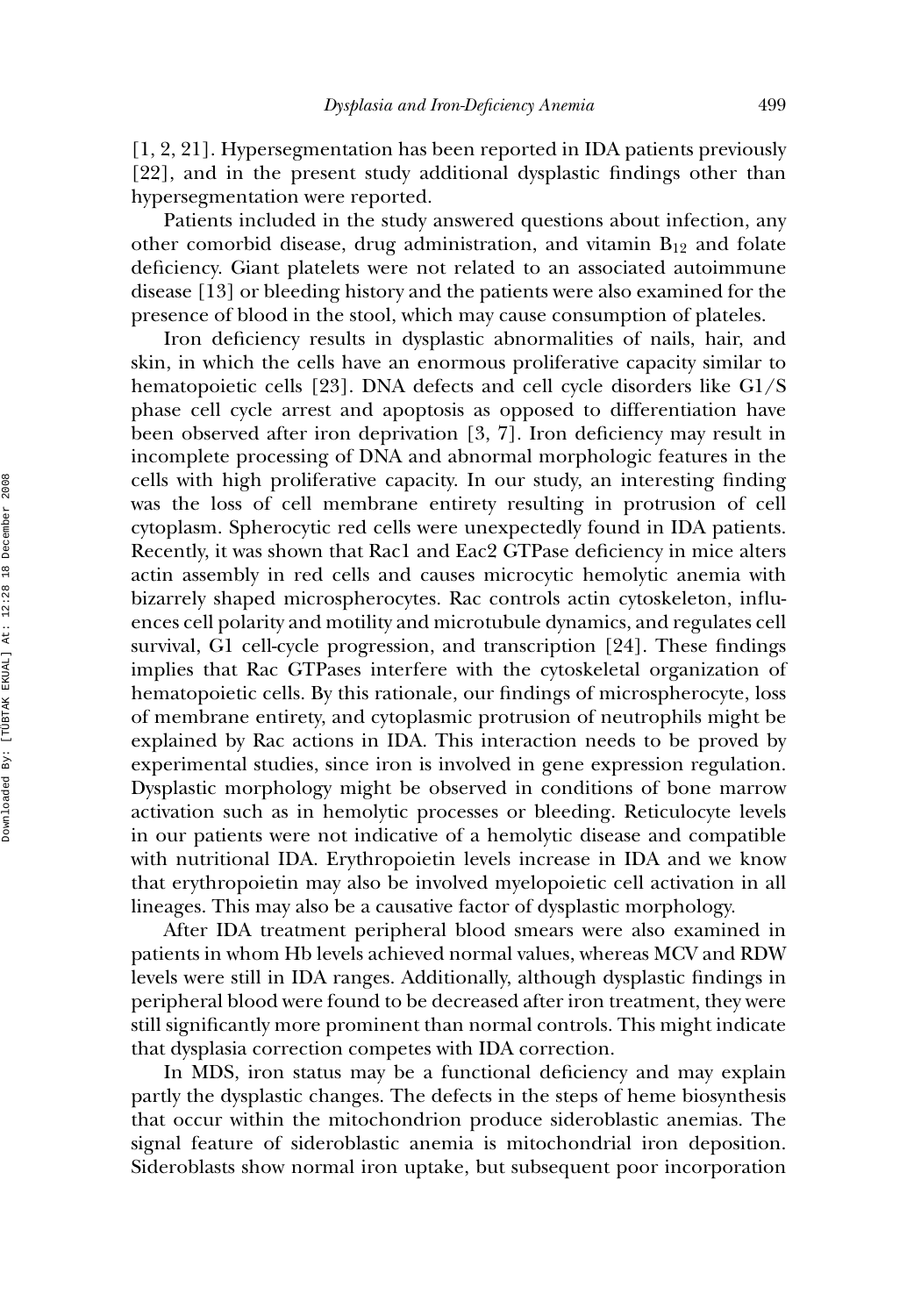[1, 2, 21]. Hypersegmentation has been reported in IDA patients previously [22], and in the present study additional dysplastic findings other than hypersegmentation were reported.

Patients included in the study answered questions about infection, any other comorbid disease, drug administration, and vitamin  $B_{12}$  and folate deficiency. Giant platelets were not related to an associated autoimmune disease [13] or bleeding history and the patients were also examined for the presence of blood in the stool, which may cause consumption of plateles.

Iron deficiency results in dysplastic abnormalities of nails, hair, and skin, in which the cells have an enormous proliferative capacity similar to hematopoietic cells [23]. DNA defects and cell cycle disorders like G1/S phase cell cycle arrest and apoptosis as opposed to differentiation have been observed after iron deprivation [3, 7]. Iron deficiency may result in incomplete processing of DNA and abnormal morphologic features in the cells with high proliferative capacity. In our study, an interesting finding was the loss of cell membrane entirety resulting in protrusion of cell cytoplasm. Spherocytic red cells were unexpectedly found in IDA patients. Recently, it was shown that Rac1 and Eac2 GTPase deficiency in mice alters actin assembly in red cells and causes microcytic hemolytic anemia with bizarrely shaped microspherocytes. Rac controls actin cytoskeleton, influences cell polarity and motility and microtubule dynamics, and regulates cell survival, G1 cell-cycle progression, and transcription [24]. These findings implies that Rac GTPases interfere with the cytoskeletal organization of hematopoietic cells. By this rationale, our findings of microspherocyte, loss of membrane entirety, and cytoplasmic protrusion of neutrophils might be explained by Rac actions in IDA. This interaction needs to be proved by experimental studies, since iron is involved in gene expression regulation. Dysplastic morphology might be observed in conditions of bone marrow activation such as in hemolytic processes or bleeding. Reticulocyte levels in our patients were not indicative of a hemolytic disease and compatible with nutritional IDA. Erythropoietin levels increase in IDA and we know that erythropoietin may also be involved myelopoietic cell activation in all lineages. This may also be a causative factor of dysplastic morphology.

After IDA treatment peripheral blood smears were also examined in patients in whom Hb levels achieved normal values, whereas MCV and RDW levels were still in IDA ranges. Additionally, although dysplastic findings in peripheral blood were found to be decreased after iron treatment, they were still significantly more prominent than normal controls. This might indicate that dysplasia correction competes with IDA correction.

In MDS, iron status may be a functional deficiency and may explain partly the dysplastic changes. The defects in the steps of heme biosynthesis that occur within the mitochondrion produce sideroblastic anemias. The signal feature of sideroblastic anemia is mitochondrial iron deposition. Sideroblasts show normal iron uptake, but subsequent poor incorporation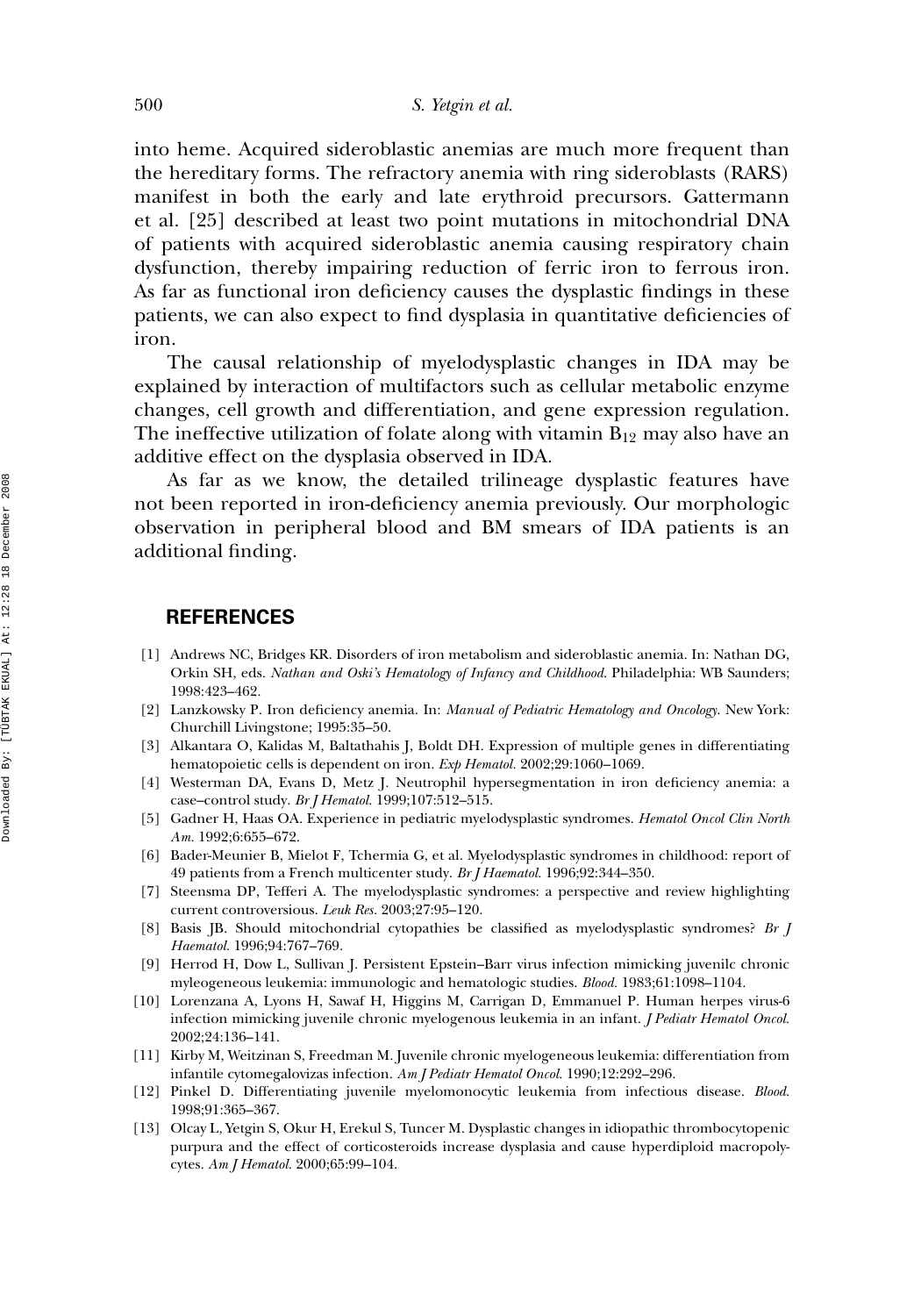into heme. Acquired sideroblastic anemias are much more frequent than the hereditary forms. The refractory anemia with ring sideroblasts (RARS) manifest in both the early and late erythroid precursors. Gattermann et al. [25] described at least two point mutations in mitochondrial DNA of patients with acquired sideroblastic anemia causing respiratory chain dysfunction, thereby impairing reduction of ferric iron to ferrous iron. As far as functional iron deficiency causes the dysplastic findings in these patients, we can also expect to find dysplasia in quantitative deficiencies of iron.

The causal relationship of myelodysplastic changes in IDA may be explained by interaction of multifactors such as cellular metabolic enzyme changes, cell growth and differentiation, and gene expression regulation. The ineffective utilization of folate along with vitamin  $B_{12}$  may also have an additive effect on the dysplasia observed in IDA.

As far as we know, the detailed trilineage dysplastic features have not been reported in iron-deficiency anemia previously. Our morphologic observation in peripheral blood and BM smears of IDA patients is an additional finding.

#### **REFERENCES**

- [1] Andrews NC, Bridges KR. Disorders of iron metabolism and sideroblastic anemia. In: Nathan DG, Orkin SH, eds. *Nathan and Oski's Hematology of Infancy and Childhood*. Philadelphia: WB Saunders; 1998:423–462.
- [2] Lanzkowsky P. Iron deficiency anemia. In: *Manual of Pediatric Hematology and Oncology*. New York: Churchill Livingstone; 1995:35–50.
- [3] Alkantara O, Kalidas M, Baltathahis J, Boldt DH. Expression of multiple genes in differentiating hematopoietic cells is dependent on iron. *Exp Hematol.* 2002;29:1060–1069.
- [4] Westerman DA, Evans D, Metz J. Neutrophil hypersegmentation in iron deficiency anemia: a case–control study. *Br J Hematol.* 1999;107:512–515.
- [5] Gadner H, Haas OA. Experience in pediatric myelodysplastic syndromes. *Hematol Oncol Clin North Am.* 1992;6:655–672.
- [6] Bader-Meunier B, Mielot F, Tchermia G, et al. Myelodysplastic syndromes in childhood: report of 49 patients from a French multicenter study. *Br J Haematol.* 1996;92:344–350.
- [7] Steensma DP, Tefferi A. The myelodysplastic syndromes: a perspective and review highlighting current controversious. *Leuk Res.* 2003;27:95–120.
- [8] Basis JB. Should mitochondrial cytopathies be classified as myelodysplastic syndromes? *Br J Haematol.* 1996;94:767–769.
- [9] Herrod H, Dow L, Sullivan J. Persistent Epstein–Barr virus infection mimicking juvenilc chronic myleogeneous leukemia: immunologic and hematologic studies. *Blood.* 1983;61:1098–1104.
- [10] Lorenzana A, Lyons H, Sawaf H, Higgins M, Carrigan D, Emmanuel P. Human herpes virus-6 infection mimicking juvenile chronic myelogenous leukemia in an infant. *J Pediatr Hematol Oncol.* 2002;24:136–141.
- [11] Kirby M, Weitzinan S, Freedman M. Juvenile chronic myelogeneous leukemia: differentiation from infantile cytomegalovizas infection. *Am J Pediatr Hematol Oncol.* 1990;12:292–296.
- [12] Pinkel D. Differentiating juvenile myelomonocytic leukemia from infectious disease. *Blood*. 1998;91:365–367.
- [13] Olcay L, Yetgin S, Okur H, Erekul S, Tuncer M. Dysplastic changes in idiopathic thrombocytopenic purpura and the effect of corticosteroids increase dysplasia and cause hyperdiploid macropolycytes. *Am J Hematol.* 2000;65:99–104.